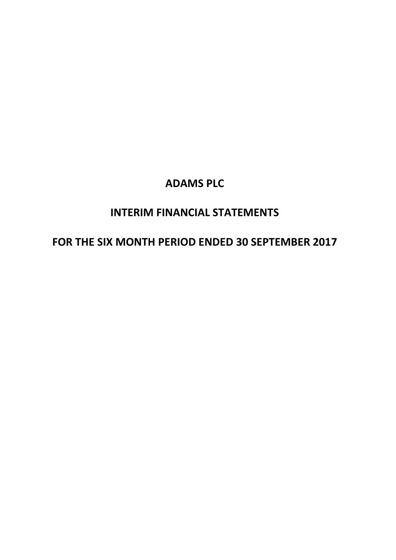# **INTERIM FINANCIAL STATEMENTS**

# **FOR THE SIX MONTH PERIOD ENDED 30 SEPTEMBER 2017**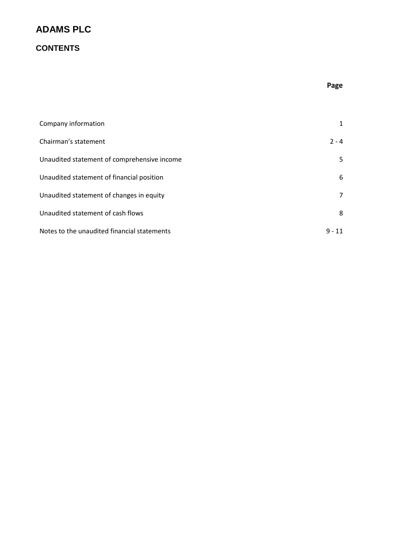## **CONTENTS**

### **Page**

| Company information                         | 1        |
|---------------------------------------------|----------|
| Chairman's statement                        | $2 - 4$  |
| Unaudited statement of comprehensive income | 5.       |
| Unaudited statement of financial position   | 6        |
| Unaudited statement of changes in equity    | 7        |
| Unaudited statement of cash flows           | 8        |
| Notes to the unaudited financial statements | $9 - 11$ |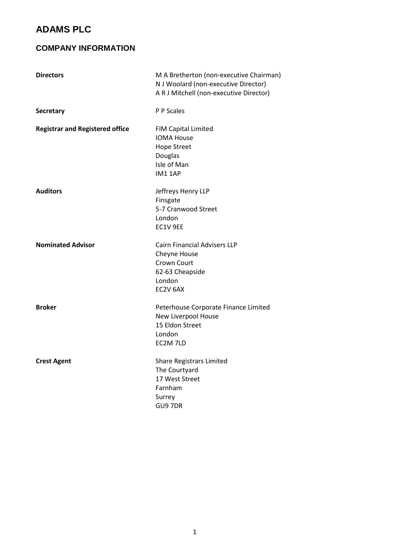## **COMPANY INFORMATION**

| <b>Directors</b>                       | M A Bretherton (non-executive Chairman)<br>N J Woolard (non-executive Director)<br>A R J Mitchell (non-executive Director) |  |
|----------------------------------------|----------------------------------------------------------------------------------------------------------------------------|--|
| <b>Secretary</b>                       | P P Scales                                                                                                                 |  |
| <b>Registrar and Registered office</b> | FIM Capital Limited<br><b>IOMA House</b><br><b>Hope Street</b><br>Douglas<br>Isle of Man<br><b>IM1 1AP</b>                 |  |
| <b>Auditors</b>                        | Jeffreys Henry LLP<br>Finsgate<br>5-7 Cranwood Street<br>London<br>EC1V 9EE                                                |  |
| <b>Nominated Advisor</b>               | <b>Cairn Financial Advisers LLP</b><br>Cheyne House<br>Crown Court<br>62-63 Cheapside<br>London<br>EC2V 6AX                |  |
| <b>Broker</b>                          | Peterhouse Corporate Finance Limited<br>New Liverpool House<br>15 Eldon Street<br>London<br>EC2M 7LD                       |  |
| <b>Crest Agent</b>                     | <b>Share Registrars Limited</b><br>The Courtyard<br>17 West Street<br>Farnham<br>Surrey<br>GU9 7DR                         |  |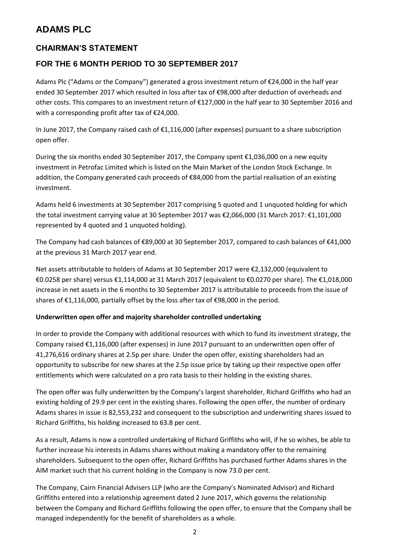## **CHAIRMAN'S STATEMENT**

## **FOR THE 6 MONTH PERIOD TO 30 SEPTEMBER 2017**

Adams Plc ("Adams or the Company") generated a gross investment return of €24,000 in the half year ended 30 September 2017 which resulted in loss after tax of €98,000 after deduction of overheads and other costs. This compares to an investment return of €127,000 in the half year to 30 September 2016 and with a corresponding profit after tax of €24,000.

In June 2017, the Company raised cash of €1,116,000 (after expenses) pursuant to a share subscription open offer.

During the six months ended 30 September 2017, the Company spent  $\epsilon$ 1,036,000 on a new equity investment in Petrofac Limited which is listed on the Main Market of the London Stock Exchange. In addition, the Company generated cash proceeds of €84,000 from the partial realisation of an existing investment.

Adams held 6 investments at 30 September 2017 comprising 5 quoted and 1 unquoted holding for which the total investment carrying value at 30 September 2017 was €2,066,000 (31 March 2017: €1,101,000 represented by 4 quoted and 1 unquoted holding).

The Company had cash balances of €89,000 at 30 September 2017, compared to cash balances of €41,000 at the previous 31 March 2017 year end.

Net assets attributable to holders of Adams at 30 September 2017 were €2,132,000 (equivalent to €0.0258 per share) versus €1,114,000 at 31 March 2017 (equivalent to €0.0270 per share). The €1,018,000 increase in net assets in the 6 months to 30 September 2017 is attributable to proceeds from the issue of shares of €1,116,000, partially offset by the loss after tax of €98,000 in the period.

#### **Underwritten open offer and majority shareholder controlled undertaking**

In order to provide the Company with additional resources with which to fund its investment strategy, the Company raised €1,116,000 (after expenses) in June 2017 pursuant to an underwritten open offer of 41,276,616 ordinary shares at 2.5p per share. Under the open offer, existing shareholders had an opportunity to subscribe for new shares at the 2.5p issue price by taking up their respective open offer entitlements which were calculated on a pro rata basis to their holding in the existing shares.

The open offer was fully underwritten by the Company's largest shareholder, Richard Griffiths who had an existing holding of 29.9 per cent in the existing shares. Following the open offer, the number of ordinary Adams shares in issue is 82,553,232 and consequent to the subscription and underwriting shares issued to Richard Griffiths, his holding increased to 63.8 per cent.

As a result, Adams is now a controlled undertaking of Richard Griffiths who will, if he so wishes, be able to further increase his interests in Adams shares without making a mandatory offer to the remaining shareholders. Subsequent to the open offer, Richard Griffiths has purchased further Adams shares in the AIM market such that his current holding in the Company is now 73.0 per cent.

The Company, Cairn Financial Advisers LLP (who are the Company's Nominated Advisor) and Richard Griffiths entered into a relationship agreement dated 2 June 2017, which governs the relationship between the Company and Richard Griffiths following the open offer, to ensure that the Company shall be managed independently for the benefit of shareholders as a whole.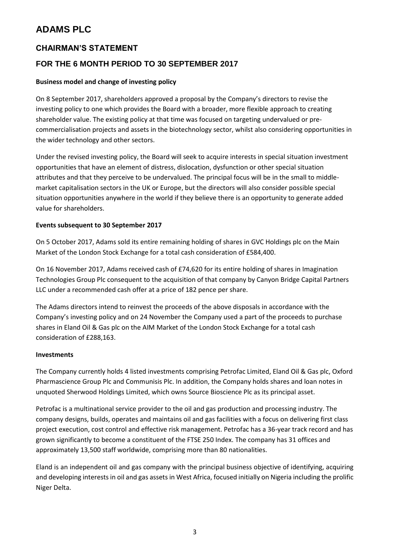### **CHAIRMAN'S STATEMENT**

## **FOR THE 6 MONTH PERIOD TO 30 SEPTEMBER 2017**

#### **Business model and change of investing policy**

On 8 September 2017, shareholders approved a proposal by the Company's directors to revise the investing policy to one which provides the Board with a broader, more flexible approach to creating shareholder value. The existing policy at that time was focused on targeting undervalued or precommercialisation projects and assets in the biotechnology sector, whilst also considering opportunities in the wider technology and other sectors.

Under the revised investing policy, the Board will seek to acquire interests in special situation investment opportunities that have an element of distress, dislocation, dysfunction or other special situation attributes and that they perceive to be undervalued. The principal focus will be in the small to middlemarket capitalisation sectors in the UK or Europe, but the directors will also consider possible special situation opportunities anywhere in the world if they believe there is an opportunity to generate added value for shareholders.

#### **Events subsequent to 30 September 2017**

On 5 October 2017, Adams sold its entire remaining holding of shares in GVC Holdings plc on the Main Market of the London Stock Exchange for a total cash consideration of £584,400.

On 16 November 2017, Adams received cash of £74,620 for its entire holding of shares in Imagination Technologies Group Plc consequent to the acquisition of that company by Canyon Bridge Capital Partners LLC under a recommended cash offer at a price of 182 pence per share.

The Adams directors intend to reinvest the proceeds of the above disposals in accordance with the Company's investing policy and on 24 November the Company used a part of the proceeds to purchase shares in Eland Oil & Gas plc on the AIM Market of the London Stock Exchange for a total cash consideration of £288,163.

#### **Investments**

The Company currently holds 4 listed investments comprising Petrofac Limited, Eland Oil & Gas plc, Oxford Pharmascience Group Plc and Communisis Plc. In addition, the Company holds shares and loan notes in unquoted Sherwood Holdings Limited, which owns Source Bioscience Plc as its principal asset.

Petrofac is a multinational service provider to the oil and gas production and processing industry. The company designs, builds, operates and maintains oil and gas facilities with a focus on delivering first class project execution, cost control and effective risk management. Petrofac has a 36-year track record and has grown significantly to become a constituent of the FTSE 250 Index. The company has 31 offices and approximately 13,500 staff worldwide, comprising more than 80 nationalities.

Eland is an independent oil and gas company with the principal business objective of identifying, acquiring and developing interests in oil and gas assets in West Africa, focused initially on Nigeria including the prolific Niger Delta.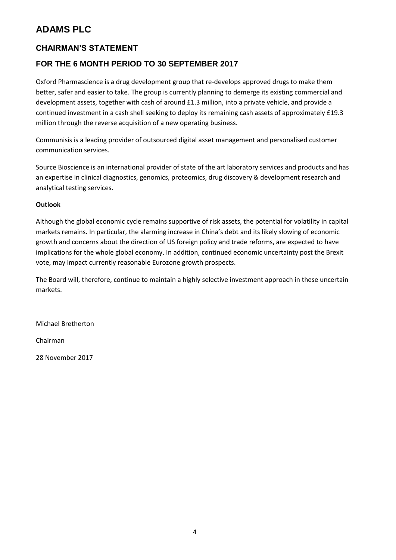## **CHAIRMAN'S STATEMENT**

## **FOR THE 6 MONTH PERIOD TO 30 SEPTEMBER 2017**

Oxford Pharmascience is a drug development group that re-develops approved drugs to make them better, safer and easier to take. The group is currently planning to demerge its existing commercial and development assets, together with cash of around £1.3 million, into a private vehicle, and provide a continued investment in a cash shell seeking to deploy its remaining cash assets of approximately £19.3 million through the reverse acquisition of a new operating business.

Communisis is a leading provider of outsourced digital asset management and personalised customer communication services.

Source Bioscience is an international provider of state of the art laboratory services and products and has an expertise in clinical diagnostics, genomics, proteomics, drug discovery & development research and analytical testing services.

#### **Outlook**

Although the global economic cycle remains supportive of risk assets, the potential for volatility in capital markets remains. In particular, the alarming increase in China's debt and its likely slowing of economic growth and concerns about the direction of US foreign policy and trade reforms, are expected to have implications for the whole global economy. In addition, continued economic uncertainty post the Brexit vote, may impact currently reasonable Eurozone growth prospects.

The Board will, therefore, continue to maintain a highly selective investment approach in these uncertain markets.

Michael Bretherton

Chairman

28 November 2017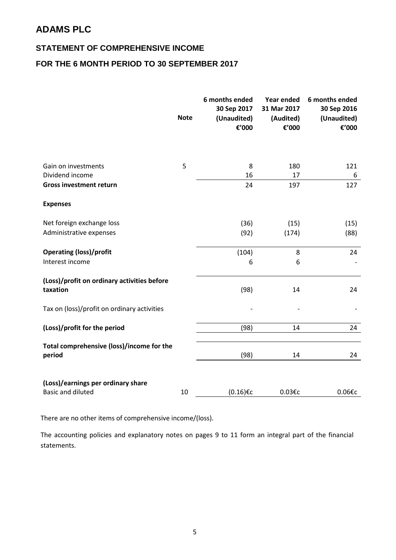## **STATEMENT OF COMPREHENSIVE INCOME**

### **FOR THE 6 MONTH PERIOD TO 30 SEPTEMBER 2017**

|                                                                | <b>Note</b> | 6 months ended<br>30 Sep 2017<br>(Unaudited)<br>€'000 | Year ended<br>31 Mar 2017<br>(Audited)<br>€'000 | 6 months ended<br>30 Sep 2016<br>(Unaudited)<br>€'000 |
|----------------------------------------------------------------|-------------|-------------------------------------------------------|-------------------------------------------------|-------------------------------------------------------|
|                                                                |             |                                                       |                                                 |                                                       |
| Gain on investments                                            | 5           | 8                                                     | 180                                             | 121                                                   |
| Dividend income                                                |             | 16                                                    | 17                                              | 6                                                     |
| <b>Gross investment return</b>                                 |             | 24                                                    | 197                                             | 127                                                   |
| <b>Expenses</b>                                                |             |                                                       |                                                 |                                                       |
| Net foreign exchange loss                                      |             | (36)                                                  | (15)                                            | (15)                                                  |
| Administrative expenses                                        |             | (92)                                                  | (174)                                           | (88)                                                  |
| <b>Operating (loss)/profit</b>                                 |             | (104)                                                 | 8                                               | 24                                                    |
| Interest income                                                |             | 6                                                     | 6                                               |                                                       |
| (Loss)/profit on ordinary activities before<br>taxation        |             | (98)                                                  | 14                                              | 24                                                    |
| Tax on (loss)/profit on ordinary activities                    |             |                                                       |                                                 |                                                       |
| (Loss)/profit for the period                                   |             | (98)                                                  | 14                                              | 24                                                    |
| Total comprehensive (loss)/income for the<br>period            |             | (98)                                                  | 14                                              | 24                                                    |
| (Loss)/earnings per ordinary share<br><b>Basic and diluted</b> | 10          | (0.16)€c                                              | 0.03€c                                          | 0.06€c                                                |

There are no other items of comprehensive income/(loss).

The accounting policies and explanatory notes on pages 9 to 11 form an integral part of the financial statements.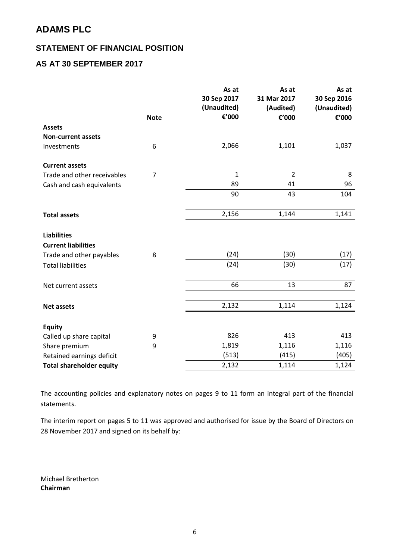### **STATEMENT OF FINANCIAL POSITION**

## **AS AT 30 SEPTEMBER 2017**

|                                 |                | As at<br>30 Sep 2017<br>(Unaudited) | As at<br>31 Mar 2017<br>(Audited) | As at<br>30 Sep 2016<br>(Unaudited) |
|---------------------------------|----------------|-------------------------------------|-----------------------------------|-------------------------------------|
|                                 | <b>Note</b>    | €'000                               | €'000                             | €'000                               |
| <b>Assets</b>                   |                |                                     |                                   |                                     |
| <b>Non-current assets</b>       |                |                                     |                                   |                                     |
| Investments                     | 6              | 2,066                               | 1,101                             | 1,037                               |
| <b>Current assets</b>           |                |                                     |                                   |                                     |
| Trade and other receivables     | $\overline{7}$ | $\mathbf 1$                         | $\overline{2}$                    | 8                                   |
| Cash and cash equivalents       |                | 89                                  | 41                                | 96                                  |
|                                 |                | 90                                  | 43                                | 104                                 |
| <b>Total assets</b>             |                | 2,156                               | 1,144                             | 1,141                               |
| <b>Liabilities</b>              |                |                                     |                                   |                                     |
| <b>Current liabilities</b>      |                |                                     |                                   |                                     |
| Trade and other payables        | 8              | (24)                                | (30)                              | (17)                                |
| <b>Total liabilities</b>        |                | (24)                                | (30)                              | (17)                                |
| Net current assets              |                | 66                                  | 13                                | 87                                  |
|                                 |                | 2,132                               | 1,114                             | 1,124                               |
| <b>Net assets</b>               |                |                                     |                                   |                                     |
| <b>Equity</b>                   |                |                                     |                                   |                                     |
| Called up share capital         | 9              | 826                                 | 413                               | 413                                 |
| Share premium                   | 9              | 1,819                               | 1,116                             | 1,116                               |
| Retained earnings deficit       |                | (513)                               | (415)                             | (405)                               |
| <b>Total shareholder equity</b> |                | 2,132                               | 1,114                             | 1,124                               |

The accounting policies and explanatory notes on pages 9 to 11 form an integral part of the financial statements.

The interim report on pages 5 to 11 was approved and authorised for issue by the Board of Directors on 28 November 2017 and signed on its behalf by:

Michael Bretherton **Chairman**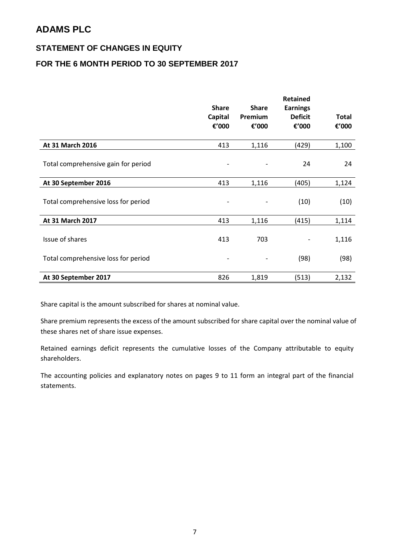### **STATEMENT OF CHANGES IN EQUITY**

## **FOR THE 6 MONTH PERIOD TO 30 SEPTEMBER 2017**

|                                     | <b>Share</b><br><b>Capital</b><br>€'000 | <b>Share</b><br>Premium<br>€'000 | <b>Retained</b><br><b>Earnings</b><br><b>Deficit</b><br>€'000 | <b>Total</b><br>€'000 |
|-------------------------------------|-----------------------------------------|----------------------------------|---------------------------------------------------------------|-----------------------|
| At 31 March 2016                    | 413                                     | 1,116                            | (429)                                                         | 1,100                 |
| Total comprehensive gain for period |                                         |                                  | 24                                                            | 24                    |
| At 30 September 2016                | 413                                     | 1,116                            | (405)                                                         | 1,124                 |
| Total comprehensive loss for period |                                         |                                  | (10)                                                          | (10)                  |
| At 31 March 2017                    | 413                                     | 1,116                            | (415)                                                         | 1,114                 |
| Issue of shares                     | 413                                     | 703                              |                                                               | 1,116                 |
| Total comprehensive loss for period | $\qquad \qquad \blacksquare$            |                                  | (98)                                                          | (98)                  |
| At 30 September 2017                | 826                                     | 1,819                            | (513)                                                         | 2,132                 |

Share capital is the amount subscribed for shares at nominal value.

Share premium represents the excess of the amount subscribed for share capital over the nominal value of these shares net of share issue expenses.

Retained earnings deficit represents the cumulative losses of the Company attributable to equity shareholders.

The accounting policies and explanatory notes on pages 9 to 11 form an integral part of the financial statements.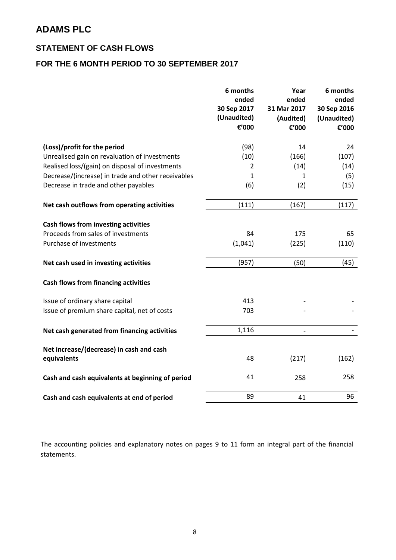### **STATEMENT OF CASH FLOWS**

## **FOR THE 6 MONTH PERIOD TO 30 SEPTEMBER 2017**

|                                                    | 6 months<br>ended<br>30 Sep 2017<br>(Unaudited)<br>€'000 | Year<br>ended<br>31 Mar 2017<br>(Audited)<br>€'000 | 6 months<br>ended<br>30 Sep 2016<br>(Unaudited)<br>€'000 |
|----------------------------------------------------|----------------------------------------------------------|----------------------------------------------------|----------------------------------------------------------|
| (Loss)/profit for the period                       | (98)                                                     | 14                                                 | 24                                                       |
| Unrealised gain on revaluation of investments      | (10)                                                     | (166)                                              | (107)                                                    |
| Realised loss/(gain) on disposal of investments    | 2                                                        | (14)                                               | (14)                                                     |
| Decrease/(increase) in trade and other receivables | 1                                                        | 1                                                  | (5)                                                      |
| Decrease in trade and other payables               | (6)                                                      | (2)                                                | (15)                                                     |
| Net cash outflows from operating activities        | (111)                                                    | (167)                                              | (117)                                                    |
| Cash flows from investing activities               |                                                          |                                                    |                                                          |
| Proceeds from sales of investments                 | 84                                                       | 175                                                | 65                                                       |
| Purchase of investments                            | (1,041)                                                  | (225)                                              | (110)                                                    |
| Net cash used in investing activities              | (957)                                                    | (50)                                               | (45)                                                     |
| <b>Cash flows from financing activities</b>        |                                                          |                                                    |                                                          |
| Issue of ordinary share capital                    | 413                                                      |                                                    |                                                          |
| Issue of premium share capital, net of costs       | 703                                                      |                                                    |                                                          |
| Net cash generated from financing activities       | 1,116                                                    | $\overline{a}$                                     |                                                          |
| Net increase/(decrease) in cash and cash           |                                                          |                                                    |                                                          |
| equivalents                                        | 48                                                       | (217)                                              | (162)                                                    |
| Cash and cash equivalents at beginning of period   | 41                                                       | 258                                                | 258                                                      |
| Cash and cash equivalents at end of period         | 89                                                       | 41                                                 | 96                                                       |

The accounting policies and explanatory notes on pages 9 to 11 form an integral part of the financial statements.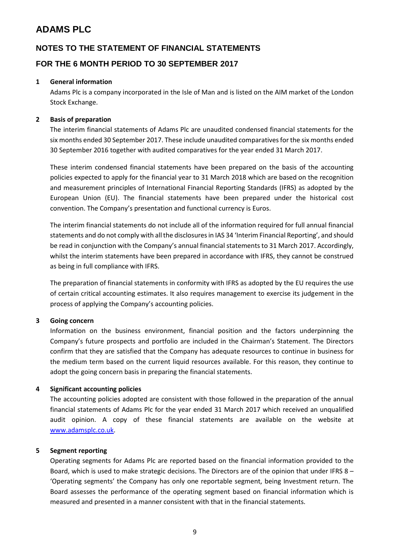### **NOTES TO THE STATEMENT OF FINANCIAL STATEMENTS**

#### **FOR THE 6 MONTH PERIOD TO 30 SEPTEMBER 2017**

#### **1 General information**

Adams Plc is a company incorporated in the Isle of Man and is listed on the AIM market of the London Stock Exchange.

#### **2 Basis of preparation**

The interim financial statements of Adams Plc are unaudited condensed financial statements for the six months ended 30 September 2017. These include unaudited comparatives for the six months ended 30 September 2016 together with audited comparatives for the year ended 31 March 2017.

These interim condensed financial statements have been prepared on the basis of the accounting policies expected to apply for the financial year to 31 March 2018 which are based on the recognition and measurement principles of International Financial Reporting Standards (IFRS) as adopted by the European Union (EU). The financial statements have been prepared under the historical cost convention. The Company's presentation and functional currency is Euros.

The interim financial statements do not include all of the information required for full annual financial statements and do not comply with all the disclosures in IAS 34 'Interim Financial Reporting', and should be read in conjunction with the Company's annual financial statements to 31 March 2017. Accordingly, whilst the interim statements have been prepared in accordance with IFRS, they cannot be construed as being in full compliance with IFRS.

The preparation of financial statements in conformity with IFRS as adopted by the EU requires the use of certain critical accounting estimates. It also requires management to exercise its judgement in the process of applying the Company's accounting policies.

#### **3 Going concern**

Information on the business environment, financial position and the factors underpinning the Company's future prospects and portfolio are included in the Chairman's Statement. The Directors confirm that they are satisfied that the Company has adequate resources to continue in business for the medium term based on the current liquid resources available. For this reason, they continue to adopt the going concern basis in preparing the financial statements.

#### **4 Significant accounting policies**

The accounting policies adopted are consistent with those followed in the preparation of the annual financial statements of Adams Plc for the year ended 31 March 2017 which received an unqualified audit opinion. A copy of these financial statements are available on the website at [www.adamsplc.co.uk.](http://www.adamsplc.co.uk/)

#### **5 Segment reporting**

Operating segments for Adams Plc are reported based on the financial information provided to the Board, which is used to make strategic decisions. The Directors are of the opinion that under IFRS 8 – 'Operating segments' the Company has only one reportable segment, being Investment return. The Board assesses the performance of the operating segment based on financial information which is measured and presented in a manner consistent with that in the financial statements.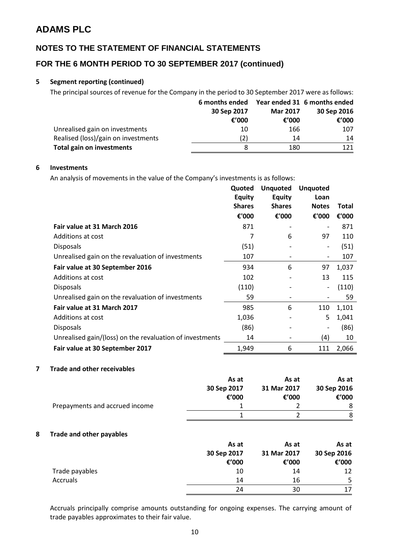### **NOTES TO THE STATEMENT OF FINANCIAL STATEMENTS**

### **FOR THE 6 MONTH PERIOD TO 30 SEPTEMBER 2017 (continued)**

#### **5 Segment reporting (continued)**

The principal sources of revenue for the Company in the period to 30 September 2017 were as follows:

|                                     | 6 months ended |                 | Year ended 31 6 months ended |
|-------------------------------------|----------------|-----------------|------------------------------|
|                                     | 30 Sep 2017    | <b>Mar 2017</b> | 30 Sep 2016                  |
|                                     | € $'000$       | € $'000$        | € $'000$                     |
| Unrealised gain on investments      | 10             | 166             | 107                          |
| Realised (loss)/gain on investments | (2)            | 14              | 14                           |
| <b>Total gain on investments</b>    | 8              | 180             | 121                          |

#### **6 Investments**

An analysis of movements in the value of the Company's investments is as follows:

|                                                          | Quoted<br><b>Equity</b> | <b>Unquoted</b><br><b>Equity</b> | <b>Unquoted</b><br>Loan  |       |
|----------------------------------------------------------|-------------------------|----------------------------------|--------------------------|-------|
|                                                          | <b>Shares</b>           | <b>Shares</b>                    | <b>Notes</b>             | Total |
|                                                          | €'000                   | €'000                            | €'000                    | €'000 |
| Fair value at 31 March 2016                              | 871                     |                                  |                          | 871   |
| Additions at cost                                        | 7                       | 6                                | 97                       | 110   |
| <b>Disposals</b>                                         | (51)                    |                                  | -                        | (51)  |
| Unrealised gain on the revaluation of investments        | 107                     |                                  | $\overline{\phantom{a}}$ | 107   |
| Fair value at 30 September 2016                          | 934                     | 6                                | 97                       | 1,037 |
| Additions at cost                                        | 102                     |                                  | 13                       | 115   |
| <b>Disposals</b>                                         | (110)                   |                                  | -                        | (110) |
| Unrealised gain on the revaluation of investments        | 59                      | $\overline{\phantom{0}}$         |                          | 59    |
| Fair value at 31 March 2017                              | 985                     | 6                                | 110                      | 1,101 |
| Additions at cost                                        | 1,036                   |                                  | 5                        | 1,041 |
| <b>Disposals</b>                                         | (86)                    |                                  |                          | (86)  |
| Unrealised gain/(loss) on the revaluation of investments | 14                      |                                  | (4)                      | 10    |
| Fair value at 30 September 2017                          | 1,949                   | 6                                | 111                      | 2,066 |

#### **7 Trade and other receivables**

|                                | As at       | As at       | As at       |
|--------------------------------|-------------|-------------|-------------|
|                                | 30 Sep 2017 | 31 Mar 2017 | 30 Sep 2016 |
|                                | €'000       | €'000       | € $'000$    |
| Prepayments and accrued income |             |             | 8           |
|                                |             |             | 8           |

#### **8 Trade and other payables**

|                 | As at       | As at       | As at       |
|-----------------|-------------|-------------|-------------|
|                 | 30 Sep 2017 | 31 Mar 2017 | 30 Sep 2016 |
|                 | €'000       | €'000       | €'000       |
| Trade payables  | 10          | 14          | 12          |
| <b>Accruals</b> | 14          | 16          | 5           |
|                 | 24          | 30          | 17          |

Accruals principally comprise amounts outstanding for ongoing expenses. The carrying amount of trade payables approximates to their fair value.